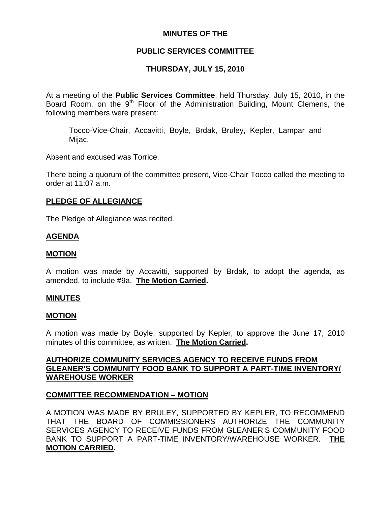## **MINUTES OF THE**

## **PUBLIC SERVICES COMMITTEE**

# **THURSDAY, JULY 15, 2010**

At a meeting of the **Public Services Committee**, held Thursday, July 15, 2010, in the Board Room, on the  $9<sup>th</sup>$  Floor of the Administration Building, Mount Clemens, the following members were present:

Tocco-Vice-Chair, Accavitti, Boyle, Brdak, Bruley, Kepler, Lampar and Mijac.

Absent and excused was Torrice.

There being a quorum of the committee present, Vice-Chair Tocco called the meeting to order at 11:07 a.m.

### **PLEDGE OF ALLEGIANCE**

The Pledge of Allegiance was recited.

## **AGENDA**

#### **MOTION**

A motion was made by Accavitti, supported by Brdak, to adopt the agenda, as amended, to include #9a. **The Motion Carried.** 

## **MINUTES**

#### **MOTION**

A motion was made by Boyle, supported by Kepler, to approve the June 17, 2010 minutes of this committee, as written. **The Motion Carried.** 

### **AUTHORIZE COMMUNITY SERVICES AGENCY TO RECEIVE FUNDS FROM GLEANER'S COMMUNITY FOOD BANK TO SUPPORT A PART-TIME INVENTORY/ WAREHOUSE WORKER**

## **COMMITTEE RECOMMENDATION – MOTION**

A MOTION WAS MADE BY BRULEY, SUPPORTED BY KEPLER, TO RECOMMEND THAT THE BOARD OF COMMISSIONERS AUTHORIZE THE COMMUNITY SERVICES AGENCY TO RECEIVE FUNDS FROM GLEANER'S COMMUNITY FOOD BANK TO SUPPORT A PART-TIME INVENTORY/WAREHOUSE WORKER. **THE MOTION CARRIED.**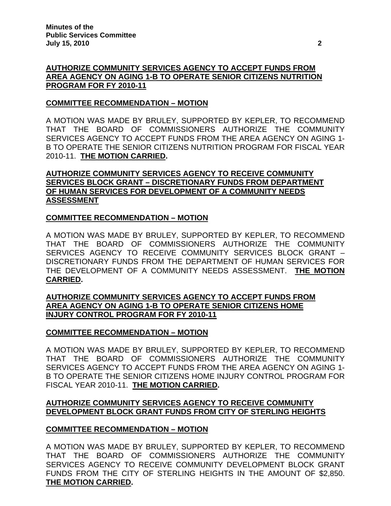## **AUTHORIZE COMMUNITY SERVICES AGENCY TO ACCEPT FUNDS FROM AREA AGENCY ON AGING 1-B TO OPERATE SENIOR CITIZENS NUTRITION PROGRAM FOR FY 2010-11**

## **COMMITTEE RECOMMENDATION – MOTION**

A MOTION WAS MADE BY BRULEY, SUPPORTED BY KEPLER, TO RECOMMEND THAT THE BOARD OF COMMISSIONERS AUTHORIZE THE COMMUNITY SERVICES AGENCY TO ACCEPT FUNDS FROM THE AREA AGENCY ON AGING 1- B TO OPERATE THE SENIOR CITIZENS NUTRITION PROGRAM FOR FISCAL YEAR 2010-11. **THE MOTION CARRIED.** 

## **AUTHORIZE COMMUNITY SERVICES AGENCY TO RECEIVE COMMUNITY SERVICES BLOCK GRANT – DISCRETIONARY FUNDS FROM DEPARTMENT OF HUMAN SERVICES FOR DEVELOPMENT OF A COMMUNITY NEEDS ASSESSMENT**

## **COMMITTEE RECOMMENDATION – MOTION**

A MOTION WAS MADE BY BRULEY, SUPPORTED BY KEPLER, TO RECOMMEND THAT THE BOARD OF COMMISSIONERS AUTHORIZE THE COMMUNITY SERVICES AGENCY TO RECEIVE COMMUNITY SERVICES BLOCK GRANT – DISCRETIONARY FUNDS FROM THE DEPARTMENT OF HUMAN SERVICES FOR THE DEVELOPMENT OF A COMMUNITY NEEDS ASSESSMENT. **THE MOTION CARRIED.** 

### **AUTHORIZE COMMUNITY SERVICES AGENCY TO ACCEPT FUNDS FROM AREA AGENCY ON AGING 1-B TO OPERATE SENIOR CITIZENS HOME INJURY CONTROL PROGRAM FOR FY 2010-11**

## **COMMITTEE RECOMMENDATION – MOTION**

A MOTION WAS MADE BY BRULEY, SUPPORTED BY KEPLER, TO RECOMMEND THAT THE BOARD OF COMMISSIONERS AUTHORIZE THE COMMUNITY SERVICES AGENCY TO ACCEPT FUNDS FROM THE AREA AGENCY ON AGING 1- B TO OPERATE THE SENIOR CITIZENS HOME INJURY CONTROL PROGRAM FOR FISCAL YEAR 2010-11. **THE MOTION CARRIED.** 

## **AUTHORIZE COMMUNITY SERVICES AGENCY TO RECEIVE COMMUNITY DEVELOPMENT BLOCK GRANT FUNDS FROM CITY OF STERLING HEIGHTS**

## **COMMITTEE RECOMMENDATION – MOTION**

A MOTION WAS MADE BY BRULEY, SUPPORTED BY KEPLER, TO RECOMMEND THAT THE BOARD OF COMMISSIONERS AUTHORIZE THE COMMUNITY SERVICES AGENCY TO RECEIVE COMMUNITY DEVELOPMENT BLOCK GRANT FUNDS FROM THE CITY OF STERLING HEIGHTS IN THE AMOUNT OF \$2,850. **THE MOTION CARRIED.**